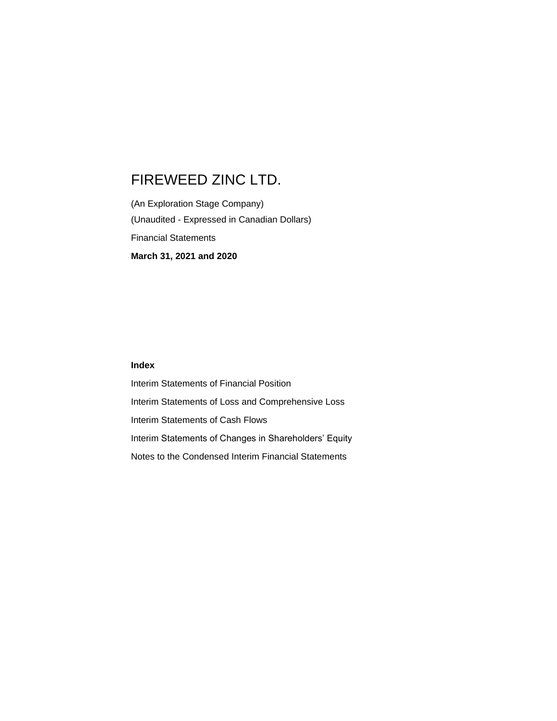(An Exploration Stage Company) (Unaudited - Expressed in Canadian Dollars) Financial Statements **March 31, 2021 and 2020**

## **Index**

Interim Statements of Financial Position Interim Statements of Loss and Comprehensive Loss Interim Statements of Cash Flows Interim Statements of Changes in Shareholders' Equity Notes to the Condensed Interim Financial Statements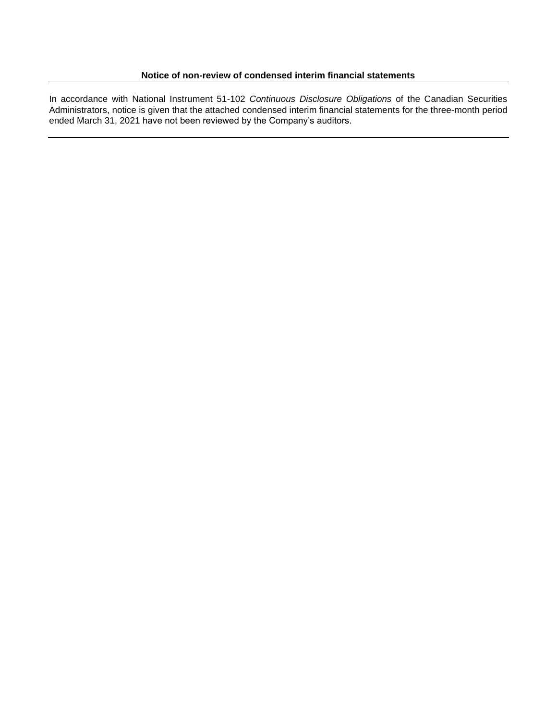In accordance with National Instrument 51-102 *Continuous Disclosure Obligations* of the Canadian Securities Administrators, notice is given that the attached condensed interim financial statements for the three-month period ended March 31, 2021 have not been reviewed by the Company's auditors.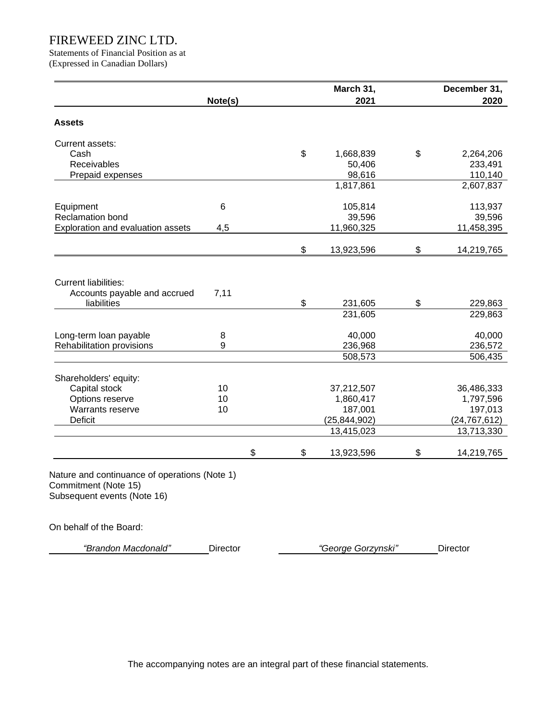Statements of Financial Position as at (Expressed in Canadian Dollars)

|                                                                            |         |    | March 31,      | December 31,     |
|----------------------------------------------------------------------------|---------|----|----------------|------------------|
|                                                                            | Note(s) |    | 2021           | 2020             |
| <b>Assets</b>                                                              |         |    |                |                  |
| Current assets:                                                            |         |    |                |                  |
| Cash                                                                       |         | \$ | 1,668,839      | \$<br>2,264,206  |
| Receivables                                                                |         |    | 50,406         | 233,491          |
| Prepaid expenses                                                           |         |    | 98,616         | 110,140          |
|                                                                            |         |    | 1,817,861      | 2,607,837        |
| Equipment                                                                  | 6       |    | 105,814        | 113,937          |
| <b>Reclamation bond</b>                                                    |         |    | 39,596         | 39,596           |
| Exploration and evaluation assets                                          | 4,5     |    | 11,960,325     | 11,458,395       |
|                                                                            |         | \$ | 13,923,596     | \$<br>14,219,765 |
| <b>Current liabilities:</b><br>Accounts payable and accrued<br>liabilities | 7,11    | \$ | 231,605        | \$<br>229,863    |
|                                                                            |         |    | 231,605        | 229,863          |
| Long-term loan payable                                                     | 8       |    | 40,000         | 40,000           |
| Rehabilitation provisions                                                  | 9       |    | 236,968        | 236,572          |
|                                                                            |         |    | 508,573        | 506,435          |
| Shareholders' equity:                                                      |         |    |                |                  |
| Capital stock                                                              | 10      |    | 37,212,507     | 36,486,333       |
| Options reserve                                                            | 10      |    | 1,860,417      | 1,797,596        |
| Warrants reserve                                                           | 10      |    | 187,001        | 197,013          |
| <b>Deficit</b>                                                             |         |    | (25, 844, 902) | (24, 767, 612)   |
|                                                                            |         |    | 13,415,023     | 13,713,330       |
|                                                                            |         |    |                |                  |

On behalf of the Board:

*"Brandon Macdonald"* Director *"George Gorzynski"* Director

The accompanying notes are an integral part of these financial statements.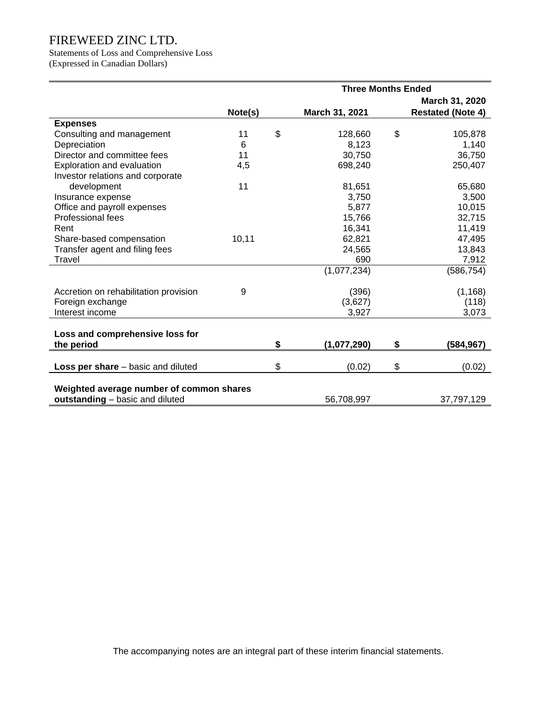Statements of Loss and Comprehensive Loss (Expressed in Canadian Dollars)

|                                          | <b>Three Months Ended</b> |                |                |    |                          |  |
|------------------------------------------|---------------------------|----------------|----------------|----|--------------------------|--|
|                                          |                           | March 31, 2020 |                |    |                          |  |
|                                          | Note(s)                   |                | March 31, 2021 |    | <b>Restated (Note 4)</b> |  |
| <b>Expenses</b>                          |                           |                |                |    |                          |  |
| Consulting and management                | 11                        | \$             | 128,660        | \$ | 105,878                  |  |
| Depreciation                             | 6                         |                | 8,123          |    | 1,140                    |  |
| Director and committee fees              | 11                        |                | 30,750         |    | 36,750                   |  |
| Exploration and evaluation               | 4,5                       |                | 698,240        |    | 250,407                  |  |
| Investor relations and corporate         |                           |                |                |    |                          |  |
| development                              | 11                        |                | 81,651         |    | 65,680                   |  |
| Insurance expense                        |                           |                | 3,750          |    | 3,500                    |  |
| Office and payroll expenses              |                           |                | 5,877          |    | 10,015                   |  |
| Professional fees                        |                           |                | 15,766         |    | 32,715                   |  |
| Rent                                     |                           |                | 16,341         |    | 11,419                   |  |
| Share-based compensation                 | 10,11                     |                | 62,821         |    | 47,495                   |  |
| Transfer agent and filing fees           |                           |                | 24,565         |    | 13,843                   |  |
| Travel                                   |                           |                | 690            |    | 7,912                    |  |
|                                          |                           |                | (1,077,234)    |    | (586, 754)               |  |
| Accretion on rehabilitation provision    | 9                         |                | (396)          |    | (1, 168)                 |  |
| Foreign exchange                         |                           |                | (3,627)        |    | (118)                    |  |
| Interest income                          |                           |                | 3,927          |    | 3,073                    |  |
| Loss and comprehensive loss for          |                           |                |                |    |                          |  |
| the period                               |                           | \$             | (1,077,290)    | \$ | (584, 967)               |  |
|                                          |                           |                |                |    |                          |  |
| Loss per share - basic and diluted       |                           | \$             | (0.02)         | \$ | (0.02)                   |  |
|                                          |                           |                |                |    |                          |  |
| Weighted average number of common shares |                           |                |                |    |                          |  |
| outstanding - basic and diluted          |                           |                | 56,708,997     |    | 37,797,129               |  |

The accompanying notes are an integral part of these interim financial statements.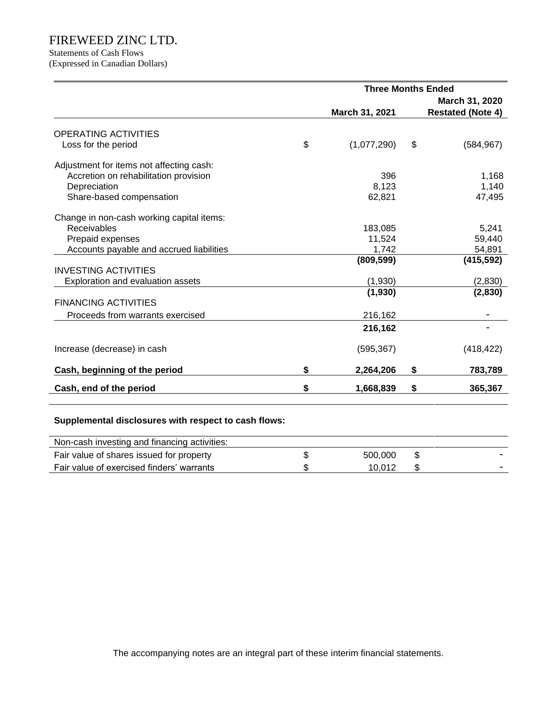# Statements of Cash Flows

(Expressed in Canadian Dollars)

|                                           | <b>Three Months Ended</b> |    |                          |  |  |
|-------------------------------------------|---------------------------|----|--------------------------|--|--|
|                                           |                           |    | March 31, 2020           |  |  |
|                                           | March 31, 2021            |    | <b>Restated (Note 4)</b> |  |  |
| <b>OPERATING ACTIVITIES</b>               |                           |    |                          |  |  |
| Loss for the period                       | \$<br>(1,077,290)         | \$ | (584, 967)               |  |  |
|                                           |                           |    |                          |  |  |
| Adjustment for items not affecting cash:  |                           |    |                          |  |  |
| Accretion on rehabilitation provision     | 396                       |    | 1,168                    |  |  |
| Depreciation                              | 8,123                     |    | 1,140                    |  |  |
| Share-based compensation                  | 62,821                    |    | 47,495                   |  |  |
|                                           |                           |    |                          |  |  |
| Change in non-cash working capital items: |                           |    |                          |  |  |
| Receivables                               | 183,085                   |    | 5,241                    |  |  |
| Prepaid expenses                          | 11,524                    |    | 59,440                   |  |  |
| Accounts payable and accrued liabilities  | 1,742                     |    | 54,891                   |  |  |
|                                           | (809, 599)                |    | (415, 592)               |  |  |
| <b>INVESTING ACTIVITIES</b>               |                           |    |                          |  |  |
| Exploration and evaluation assets         | (1,930)                   |    | (2,830)                  |  |  |
|                                           | (1,930)                   |    | (2,830)                  |  |  |
| <b>FINANCING ACTIVITIES</b>               |                           |    |                          |  |  |
| Proceeds from warrants exercised          | 216,162                   |    |                          |  |  |
|                                           | 216,162                   |    |                          |  |  |
| Increase (decrease) in cash               | (595, 367)                |    | (418, 422)               |  |  |
|                                           |                           |    |                          |  |  |
| Cash, beginning of the period             | \$<br>2,264,206           | \$ | 783,789                  |  |  |
| Cash, end of the period                   | \$<br>1,668,839           | \$ | 365,367                  |  |  |

## **Supplemental disclosures with respect to cash flows:**

| Non-cash investing and financing activities: |         |  |
|----------------------------------------------|---------|--|
| Fair value of shares issued for property     | 500,000 |  |
| Fair value of exercised finders' warrants    | 10.012  |  |

The accompanying notes are an integral part of these interim financial statements.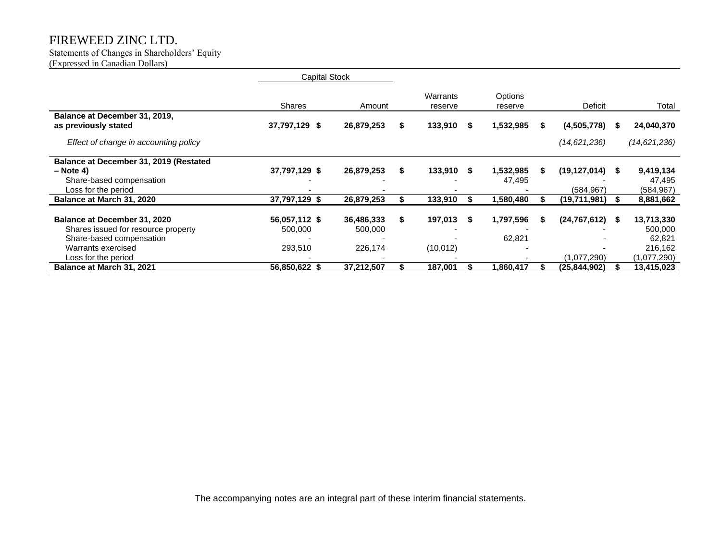#### Statements of Changes in Shareholders' Equity (Expressed in Canadian Dollars)

|                                                                                                                                                     | <b>Capital Stock</b>                |                                  |    |                      |      |                     |   |                               |     |                                                           |
|-----------------------------------------------------------------------------------------------------------------------------------------------------|-------------------------------------|----------------------------------|----|----------------------|------|---------------------|---|-------------------------------|-----|-----------------------------------------------------------|
|                                                                                                                                                     | <b>Shares</b>                       | Amount                           |    | Warrants<br>reserve  |      | Options<br>reserve  |   | Deficit                       |     | Total                                                     |
| Balance at December 31, 2019,<br>as previously stated                                                                                               | 37,797,129 \$                       | 26,879,253                       | \$ | 133,910              | - 55 | 1,532,985           | S | (4,505,778)                   | S   | 24,040,370                                                |
| Effect of change in accounting policy                                                                                                               |                                     |                                  |    |                      |      |                     |   | (14, 621, 236)                |     | (14, 621, 236)                                            |
| Balance at December 31, 2019 (Restated<br>$-$ Note 4)<br>Share-based compensation<br>Loss for the period                                            | 37,797,129 \$                       | 26,879,253                       | S  | 133,910              | - \$ | 1,532,985<br>47,495 | S | (19,127,014)<br>(584,967)     | S   | 9,419,134<br>47,495<br>(584, 967)                         |
| Balance at March 31, 2020                                                                                                                           | 37,797,129 \$                       | 26,879,253                       |    | 133,910              |      | 1,580,480           |   | (19,711,981)                  |     | 8,881,662                                                 |
| <b>Balance at December 31, 2020</b><br>Shares issued for resource property<br>Share-based compensation<br>Warrants exercised<br>Loss for the period | 56,057,112 \$<br>500,000<br>293,510 | 36,486,333<br>500,000<br>226,174 | \$ | 197,013<br>(10, 012) | - \$ | 1,797,596<br>62,821 | S | (24, 767, 612)<br>(1,077,290) | - 5 | 13,713,330<br>500,000<br>62,821<br>216,162<br>(1,077,290) |
| Balance at March 31, 2021                                                                                                                           | 56,850,622 \$                       | 37,212,507                       |    | 187,001              |      | 1,860,417           |   | (25,844,902)                  |     | 13,415,023                                                |

The accompanying notes are an integral part of these interim financial statements.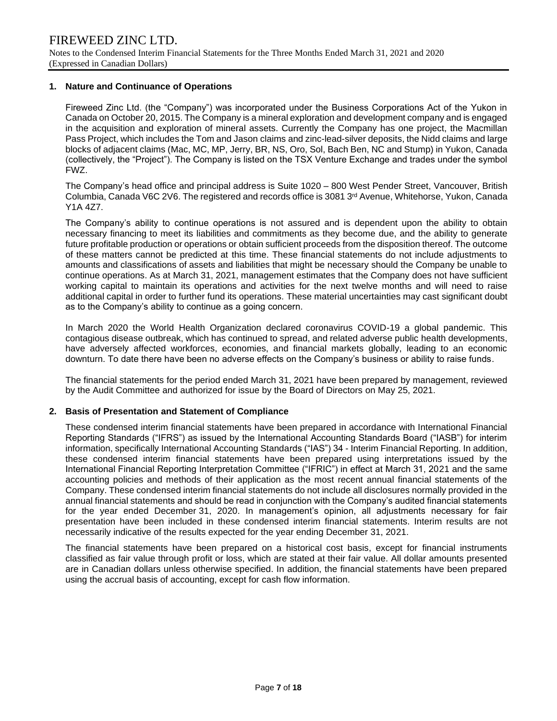### **1. Nature and Continuance of Operations**

Fireweed Zinc Ltd. (the "Company") was incorporated under the Business Corporations Act of the Yukon in Canada on October 20, 2015. The Company is a mineral exploration and development company and is engaged in the acquisition and exploration of mineral assets. Currently the Company has one project, the Macmillan Pass Project, which includes the Tom and Jason claims and zinc-lead-silver deposits, the Nidd claims and large blocks of adjacent claims (Mac, MC, MP, Jerry, BR, NS, Oro, Sol, Bach Ben, NC and Stump) in Yukon, Canada (collectively, the "Project"). The Company is listed on the TSX Venture Exchange and trades under the symbol FWZ.

The Company's head office and principal address is Suite 1020 – 800 West Pender Street, Vancouver, British Columbia, Canada V6C 2V6. The registered and records office is 3081 3rd Avenue, Whitehorse, Yukon, Canada Y1A 4Z7.

The Company's ability to continue operations is not assured and is dependent upon the ability to obtain necessary financing to meet its liabilities and commitments as they become due, and the ability to generate future profitable production or operations or obtain sufficient proceeds from the disposition thereof. The outcome of these matters cannot be predicted at this time. These financial statements do not include adjustments to amounts and classifications of assets and liabilities that might be necessary should the Company be unable to continue operations. As at March 31, 2021, management estimates that the Company does not have sufficient working capital to maintain its operations and activities for the next twelve months and will need to raise additional capital in order to further fund its operations. These material uncertainties may cast significant doubt as to the Company's ability to continue as a going concern.

In March 2020 the World Health Organization declared coronavirus COVID-19 a global pandemic. This contagious disease outbreak, which has continued to spread, and related adverse public health developments, have adversely affected workforces, economies, and financial markets globally, leading to an economic downturn. To date there have been no adverse effects on the Company's business or ability to raise funds.

The financial statements for the period ended March 31, 2021 have been prepared by management, reviewed by the Audit Committee and authorized for issue by the Board of Directors on May 25, 2021.

### **2. Basis of Presentation and Statement of Compliance**

These condensed interim financial statements have been prepared in accordance with International Financial Reporting Standards ("IFRS") as issued by the International Accounting Standards Board ("IASB") for interim information, specifically International Accounting Standards ("IAS") 34 - Interim Financial Reporting. In addition, these condensed interim financial statements have been prepared using interpretations issued by the International Financial Reporting Interpretation Committee ("IFRIC") in effect at March 31, 2021 and the same accounting policies and methods of their application as the most recent annual financial statements of the Company. These condensed interim financial statements do not include all disclosures normally provided in the annual financial statements and should be read in conjunction with the Company's audited financial statements for the year ended December 31, 2020. In management's opinion, all adjustments necessary for fair presentation have been included in these condensed interim financial statements. Interim results are not necessarily indicative of the results expected for the year ending December 31, 2021.

The financial statements have been prepared on a historical cost basis, except for financial instruments classified as fair value through profit or loss, which are stated at their fair value. All dollar amounts presented are in Canadian dollars unless otherwise specified. In addition, the financial statements have been prepared using the accrual basis of accounting, except for cash flow information.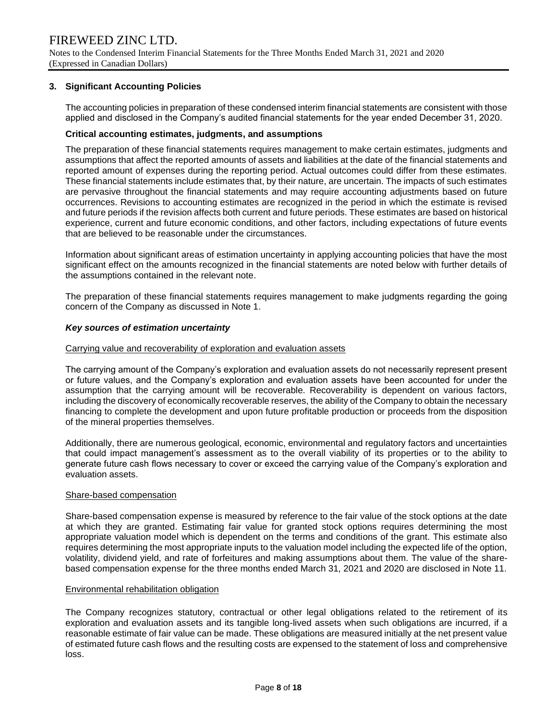Notes to the Condensed Interim Financial Statements for the Three Months Ended March 31, 2021 and 2020 (Expressed in Canadian Dollars)

## **3. Significant Accounting Policies**

The accounting policies in preparation of these condensed interim financial statements are consistent with those applied and disclosed in the Company's audited financial statements for the year ended December 31, 2020.

#### **Critical accounting estimates, judgments, and assumptions**

The preparation of these financial statements requires management to make certain estimates, judgments and assumptions that affect the reported amounts of assets and liabilities at the date of the financial statements and reported amount of expenses during the reporting period. Actual outcomes could differ from these estimates. These financial statements include estimates that, by their nature, are uncertain. The impacts of such estimates are pervasive throughout the financial statements and may require accounting adjustments based on future occurrences. Revisions to accounting estimates are recognized in the period in which the estimate is revised and future periods if the revision affects both current and future periods. These estimates are based on historical experience, current and future economic conditions, and other factors, including expectations of future events that are believed to be reasonable under the circumstances.

Information about significant areas of estimation uncertainty in applying accounting policies that have the most significant effect on the amounts recognized in the financial statements are noted below with further details of the assumptions contained in the relevant note.

The preparation of these financial statements requires management to make judgments regarding the going concern of the Company as discussed in Note 1.

### *Key sources of estimation uncertainty*

#### Carrying value and recoverability of exploration and evaluation assets

The carrying amount of the Company's exploration and evaluation assets do not necessarily represent present or future values, and the Company's exploration and evaluation assets have been accounted for under the assumption that the carrying amount will be recoverable. Recoverability is dependent on various factors, including the discovery of economically recoverable reserves, the ability of the Company to obtain the necessary financing to complete the development and upon future profitable production or proceeds from the disposition of the mineral properties themselves.

Additionally, there are numerous geological, economic, environmental and regulatory factors and uncertainties that could impact management's assessment as to the overall viability of its properties or to the ability to generate future cash flows necessary to cover or exceed the carrying value of the Company's exploration and evaluation assets.

#### Share-based compensation

Share-based compensation expense is measured by reference to the fair value of the stock options at the date at which they are granted. Estimating fair value for granted stock options requires determining the most appropriate valuation model which is dependent on the terms and conditions of the grant. This estimate also requires determining the most appropriate inputs to the valuation model including the expected life of the option, volatility, dividend yield, and rate of forfeitures and making assumptions about them. The value of the sharebased compensation expense for the three months ended March 31, 2021 and 2020 are disclosed in Note 11.

#### Environmental rehabilitation obligation

The Company recognizes statutory, contractual or other legal obligations related to the retirement of its exploration and evaluation assets and its tangible long-lived assets when such obligations are incurred, if a reasonable estimate of fair value can be made. These obligations are measured initially at the net present value of estimated future cash flows and the resulting costs are expensed to the statement of loss and comprehensive loss.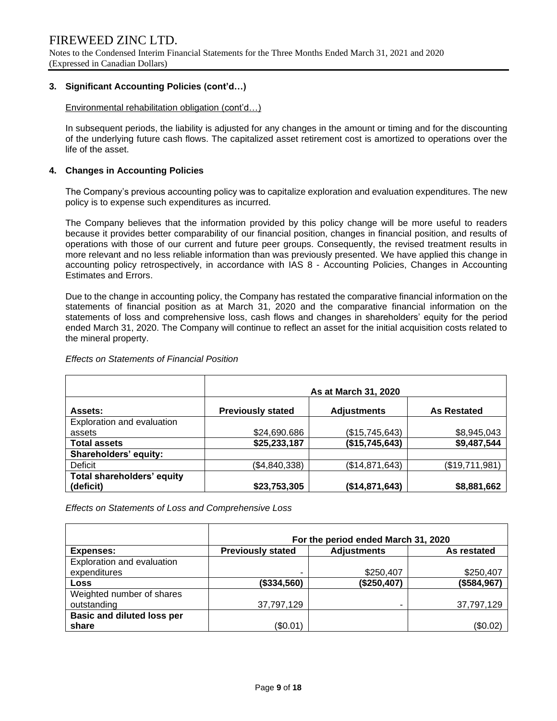Notes to the Condensed Interim Financial Statements for the Three Months Ended March 31, 2021 and 2020 (Expressed in Canadian Dollars)

## **3. Significant Accounting Policies (cont'd…)**

Environmental rehabilitation obligation (cont'd…)

In subsequent periods, the liability is adjusted for any changes in the amount or timing and for the discounting of the underlying future cash flows. The capitalized asset retirement cost is amortized to operations over the life of the asset.

## **4. Changes in Accounting Policies**

The Company's previous accounting policy was to capitalize exploration and evaluation expenditures. The new policy is to expense such expenditures as incurred.

The Company believes that the information provided by this policy change will be more useful to readers because it provides better comparability of our financial position, changes in financial position, and results of operations with those of our current and future peer groups. Consequently, the revised treatment results in more relevant and no less reliable information than was previously presented. We have applied this change in accounting policy retrospectively, in accordance with IAS 8 - Accounting Policies, Changes in Accounting Estimates and Errors.

Due to the change in accounting policy, the Company has restated the comparative financial information on the statements of financial position as at March 31, 2020 and the comparative financial information on the statements of loss and comprehensive loss, cash flows and changes in shareholders' equity for the period ended March 31, 2020. The Company will continue to reflect an asset for the initial acquisition costs related to the mineral property.

|                            | As at March 31, 2020     |                    |                    |  |  |  |  |  |
|----------------------------|--------------------------|--------------------|--------------------|--|--|--|--|--|
| Assets:                    | <b>Previously stated</b> | <b>Adjustments</b> | <b>As Restated</b> |  |  |  |  |  |
| Exploration and evaluation |                          |                    |                    |  |  |  |  |  |
| assets                     | \$24,690.686             | (\$15,745,643)     | \$8,945,043        |  |  |  |  |  |
| <b>Total assets</b>        | \$25,233,187             | (\$15,745,643)     | \$9,487,544        |  |  |  |  |  |
| Shareholders' equity:      |                          |                    |                    |  |  |  |  |  |
| Deficit                    | (\$4,840,338)            | (\$14,871,643)     | (\$19,711,981)     |  |  |  |  |  |
| Total shareholders' equity |                          |                    |                    |  |  |  |  |  |
| (deficit)                  | \$23,753,305             | (\$14,871,643)     | \$8,881,662        |  |  |  |  |  |

#### *Effects on Statements of Financial Position*

*Effects on Statements of Loss and Comprehensive Loss*

|                                   | For the period ended March 31, 2020 |                    |             |  |  |  |  |  |  |
|-----------------------------------|-------------------------------------|--------------------|-------------|--|--|--|--|--|--|
| Expenses:                         | <b>Previously stated</b>            | <b>Adjustments</b> | As restated |  |  |  |  |  |  |
| Exploration and evaluation        |                                     |                    |             |  |  |  |  |  |  |
| expenditures                      |                                     | \$250,407          | \$250,407   |  |  |  |  |  |  |
| Loss                              | (\$334,560)                         | (\$250,407)        | (\$584,967) |  |  |  |  |  |  |
| Weighted number of shares         |                                     |                    |             |  |  |  |  |  |  |
| outstanding                       | 37,797,129                          |                    | 37,797,129  |  |  |  |  |  |  |
| <b>Basic and diluted loss per</b> |                                     |                    |             |  |  |  |  |  |  |
| share                             | (\$0.01)                            |                    | (\$0.02)    |  |  |  |  |  |  |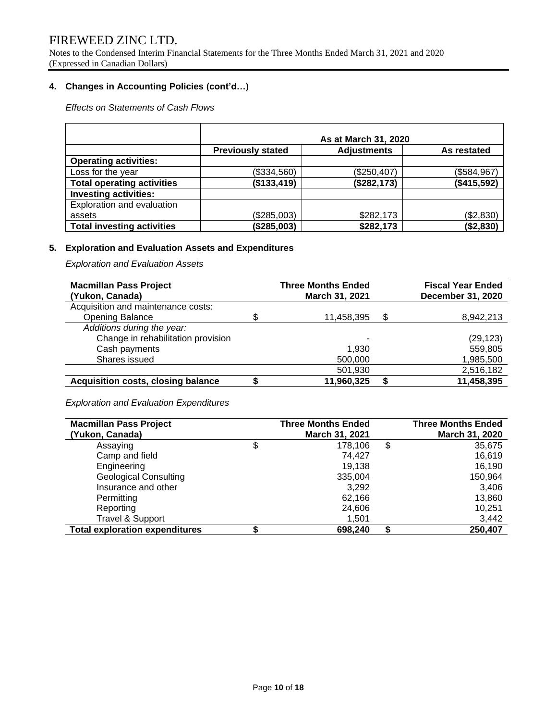Notes to the Condensed Interim Financial Statements for the Three Months Ended March 31, 2021 and 2020 (Expressed in Canadian Dollars)

## **4. Changes in Accounting Policies (cont'd…)**

*Effects on Statements of Cash Flows*

|                                   | As at March 31, 2020                           |             |             |  |  |  |  |  |
|-----------------------------------|------------------------------------------------|-------------|-------------|--|--|--|--|--|
|                                   | <b>Adjustments</b><br><b>Previously stated</b> |             |             |  |  |  |  |  |
| <b>Operating activities:</b>      |                                                |             |             |  |  |  |  |  |
| Loss for the year                 | (\$334,560)                                    | (\$250,407) | (\$584,967) |  |  |  |  |  |
| <b>Total operating activities</b> | (\$133,419)                                    | (\$282,173) | (\$415,592) |  |  |  |  |  |
| <b>Investing activities:</b>      |                                                |             |             |  |  |  |  |  |
| Exploration and evaluation        |                                                |             |             |  |  |  |  |  |
| assets                            | (\$285,003)                                    | \$282,173   | (\$2,830)   |  |  |  |  |  |
| <b>Total investing activities</b> | (\$285,003)                                    | \$282,173   | (\$2,830)   |  |  |  |  |  |

## **5. Exploration and Evaluation Assets and Expenditures**

*Exploration and Evaluation Assets*

| <b>Macmillan Pass Project</b><br>(Yukon, Canada) |   | <b>Three Months Ended</b><br>March 31, 2021 | <b>Fiscal Year Ended</b><br><b>December 31, 2020</b> |
|--------------------------------------------------|---|---------------------------------------------|------------------------------------------------------|
| Acquisition and maintenance costs:               |   |                                             |                                                      |
| <b>Opening Balance</b>                           | S | 11,458,395                                  | \$<br>8,942,213                                      |
| Additions during the year:                       |   |                                             |                                                      |
| Change in rehabilitation provision               |   | -                                           | (29, 123)                                            |
| Cash payments                                    |   | 1.930                                       | 559,805                                              |
| Shares issued                                    |   | 500,000                                     | 1,985,500                                            |
|                                                  |   | 501,930                                     | 2,516,182                                            |
| <b>Acquisition costs, closing balance</b>        |   | 11,960,325                                  | 11,458,395                                           |

*Exploration and Evaluation Expenditures*

| <b>Macmillan Pass Project</b>         | <b>Three Months Ended</b> |    | <b>Three Months Ended</b> |
|---------------------------------------|---------------------------|----|---------------------------|
| (Yukon, Canada)                       | March 31, 2021            |    | March 31, 2020            |
| Assaying                              | 178,106                   | \$ | 35,675                    |
| Camp and field                        | 74.427                    |    | 16,619                    |
| Engineering                           | 19.138                    |    | 16,190                    |
| <b>Geological Consulting</b>          | 335,004                   |    | 150,964                   |
| Insurance and other                   | 3.292                     |    | 3,406                     |
| Permitting                            | 62,166                    |    | 13,860                    |
| Reporting                             | 24,606                    |    | 10,251                    |
| <b>Travel &amp; Support</b>           | 1,501                     |    | 3,442                     |
| <b>Total exploration expenditures</b> | 698,240                   | S  | 250.407                   |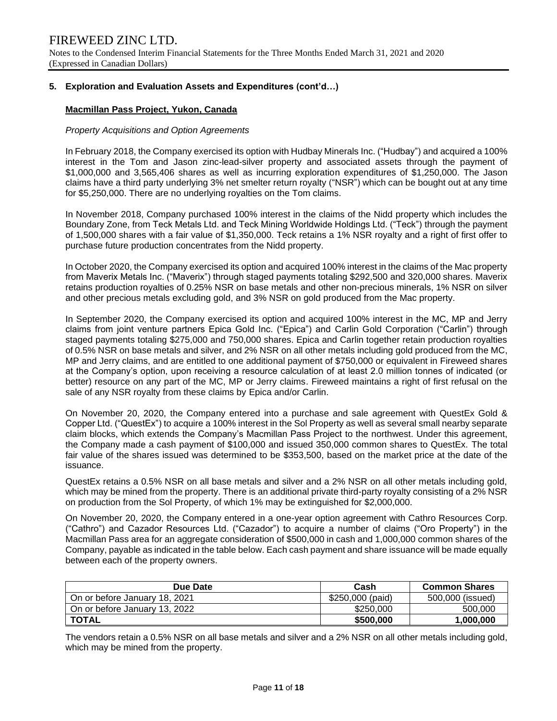## **5. Exploration and Evaluation Assets and Expenditures (cont'd…)**

## **Macmillan Pass Project, Yukon, Canada**

#### *Property Acquisitions and Option Agreements*

In February 2018, the Company exercised its option with Hudbay Minerals Inc. ("Hudbay") and acquired a 100% interest in the Tom and Jason zinc-lead-silver property and associated assets through the payment of \$1,000,000 and 3,565,406 shares as well as incurring exploration expenditures of \$1,250,000. The Jason claims have a third party underlying 3% net smelter return royalty ("NSR") which can be bought out at any time for \$5,250,000. There are no underlying royalties on the Tom claims.

In November 2018, Company purchased 100% interest in the claims of the Nidd property which includes the Boundary Zone, from Teck Metals Ltd. and Teck Mining Worldwide Holdings Ltd. ("Teck") through the payment of 1,500,000 shares with a fair value of \$1,350,000. Teck retains a 1% NSR royalty and a right of first offer to purchase future production concentrates from the Nidd property.

In October 2020, the Company exercised its option and acquired 100% interest in the claims of the Mac property from Maverix Metals Inc. ("Maverix") through staged payments totaling \$292,500 and 320,000 shares. Maverix retains production royalties of 0.25% NSR on base metals and other non-precious minerals, 1% NSR on silver and other precious metals excluding gold, and 3% NSR on gold produced from the Mac property.

In September 2020, the Company exercised its option and acquired 100% interest in the MC, MP and Jerry claims from joint venture partners Epica Gold Inc. ("Epica") and Carlin Gold Corporation ("Carlin") through staged payments totaling \$275,000 and 750,000 shares. Epica and Carlin together retain production royalties of 0.5% NSR on base metals and silver, and 2% NSR on all other metals including gold produced from the MC, MP and Jerry claims, and are entitled to one additional payment of \$750,000 or equivalent in Fireweed shares at the Company's option, upon receiving a resource calculation of at least 2.0 million tonnes of indicated (or better) resource on any part of the MC, MP or Jerry claims. Fireweed maintains a right of first refusal on the sale of any NSR royalty from these claims by Epica and/or Carlin.

On November 20, 2020, the Company entered into a purchase and sale agreement with QuestEx Gold & Copper Ltd. ("QuestEx") to acquire a 100% interest in the Sol Property as well as several small nearby separate claim blocks, which extends the Company's Macmillan Pass Project to the northwest. Under this agreement, the Company made a cash payment of \$100,000 and issued 350,000 common shares to QuestEx. The total fair value of the shares issued was determined to be \$353,500, based on the market price at the date of the issuance.

QuestEx retains a 0.5% NSR on all base metals and silver and a 2% NSR on all other metals including gold, which may be mined from the property. There is an additional private third-party royalty consisting of a 2% NSR on production from the Sol Property, of which 1% may be extinguished for \$2,000,000.

On November 20, 2020, the Company entered in a one-year option agreement with Cathro Resources Corp. ("Cathro") and Cazador Resources Ltd. ("Cazador") to acquire a number of claims ("Oro Property") in the Macmillan Pass area for an aggregate consideration of \$500,000 in cash and 1,000,000 common shares of the Company, payable as indicated in the table below. Each cash payment and share issuance will be made equally between each of the property owners.

| Due Date                      | Cash             | <b>Common Shares</b> |
|-------------------------------|------------------|----------------------|
| On or before January 18, 2021 | \$250,000 (paid) | 500,000 (issued)     |
| On or before January 13, 2022 | \$250,000        | 500,000              |
| <b>TOTAL</b>                  | \$500,000        | 1.000.000            |

The vendors retain a 0.5% NSR on all base metals and silver and a 2% NSR on all other metals including gold, which may be mined from the property.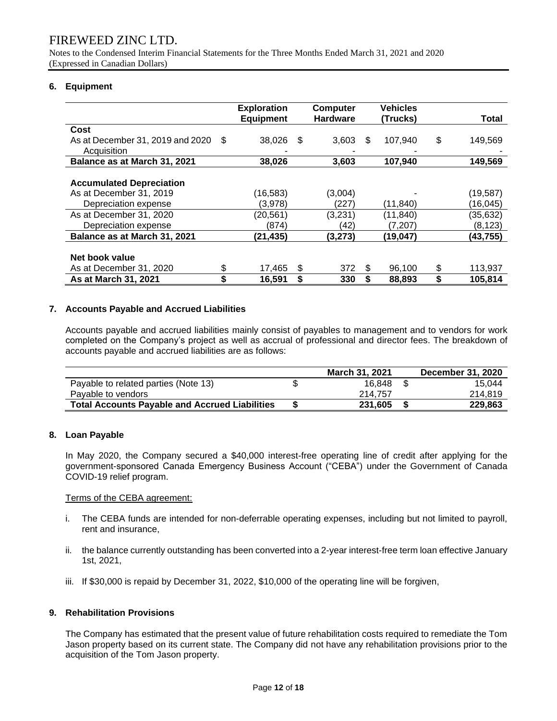Notes to the Condensed Interim Financial Statements for the Three Months Ended March 31, 2021 and 2020 (Expressed in Canadian Dollars)

## **6. Equipment**

|                                  |      | <b>Exploration</b><br><b>Equipment</b> |      | <b>Computer</b><br><b>Hardware</b> |     | <b>Vehicles</b><br>(Trucks) | Total         |
|----------------------------------|------|----------------------------------------|------|------------------------------------|-----|-----------------------------|---------------|
|                                  |      |                                        |      |                                    |     |                             |               |
| Cost                             |      |                                        |      |                                    |     |                             |               |
| As at December 31, 2019 and 2020 | - \$ | 38,026                                 | - \$ | 3,603                              | \$. | 107,940                     | \$<br>149,569 |
| Acquisition                      |      |                                        |      |                                    |     |                             |               |
| Balance as at March 31, 2021     |      | 38,026                                 |      | 3,603                              |     | 107,940                     | 149,569       |
|                                  |      |                                        |      |                                    |     |                             |               |
| <b>Accumulated Depreciation</b>  |      |                                        |      |                                    |     |                             |               |
| As at December 31, 2019          |      | (16,583)                               |      | (3,004)                            |     |                             | (19,587)      |
| Depreciation expense             |      | (3,978)                                |      | (227)                              |     | (11, 840)                   | (16,045)      |
| As at December 31, 2020          |      | (20, 561)                              |      | (3,231)                            |     | (11, 840)                   | (35, 632)     |
| Depreciation expense             |      | (874)                                  |      | (42)                               |     | (7,207)                     | (8, 123)      |
| Balance as at March 31, 2021     |      | (21,435)                               |      | (3, 273)                           |     | (19, 047)                   | (43,755)      |
|                                  |      |                                        |      |                                    |     |                             |               |
| Net book value                   |      |                                        |      |                                    |     |                             |               |
| As at December 31, 2020          | \$   | 17,465                                 | \$   | 372                                | S   | 96,100                      | \$<br>113,937 |
| As at March 31, 2021             | S    | 16,591                                 | \$   | 330                                | S   | 88,893                      | 105,814       |

### **7. Accounts Payable and Accrued Liabilities**

Accounts payable and accrued liabilities mainly consist of payables to management and to vendors for work completed on the Company's project as well as accrual of professional and director fees. The breakdown of accounts payable and accrued liabilities are as follows:

|                                                       | <b>March 31, 2021</b> | <b>December 31, 2020</b> |
|-------------------------------------------------------|-----------------------|--------------------------|
| Payable to related parties (Note 13)                  | 16.848                | 15.044                   |
| Pavable to vendors                                    | 214.757               | 214.819                  |
| <b>Total Accounts Payable and Accrued Liabilities</b> | 231.605               | 229.863                  |

### **8. Loan Payable**

In May 2020, the Company secured a \$40,000 interest-free operating line of credit after applying for the government-sponsored Canada Emergency Business Account ("CEBA") under the Government of Canada COVID-19 relief program.

### Terms of the CEBA agreement:

- i. The CEBA funds are intended for non-deferrable operating expenses, including but not limited to payroll, rent and insurance,
- ii. the balance currently outstanding has been converted into a 2-year interest-free term loan effective January 1st, 2021,
- iii. If \$30,000 is repaid by December 31, 2022, \$10,000 of the operating line will be forgiven,

### **9. Rehabilitation Provisions**

The Company has estimated that the present value of future rehabilitation costs required to remediate the Tom Jason property based on its current state. The Company did not have any rehabilitation provisions prior to the acquisition of the Tom Jason property.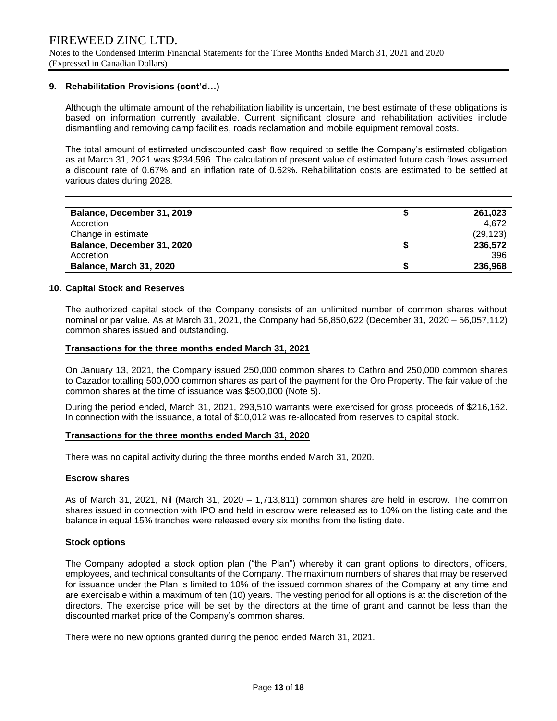Notes to the Condensed Interim Financial Statements for the Three Months Ended March 31, 2021 and 2020 (Expressed in Canadian Dollars)

#### **9. Rehabilitation Provisions (cont'd…)**

Although the ultimate amount of the rehabilitation liability is uncertain, the best estimate of these obligations is based on information currently available. Current significant closure and rehabilitation activities include dismantling and removing camp facilities, roads reclamation and mobile equipment removal costs.

The total amount of estimated undiscounted cash flow required to settle the Company's estimated obligation as at March 31, 2021 was \$234,596. The calculation of present value of estimated future cash flows assumed a discount rate of 0.67% and an inflation rate of 0.62%. Rehabilitation costs are estimated to be settled at various dates during 2028.

| Balance, December 31, 2019     | 261,023   |
|--------------------------------|-----------|
| Accretion                      | 4.672     |
| Change in estimate             | (29, 123) |
| Balance, December 31, 2020     | 236,572   |
| Accretion                      | 396       |
| <b>Balance, March 31, 2020</b> | 236,968   |

#### **10. Capital Stock and Reserves**

The authorized capital stock of the Company consists of an unlimited number of common shares without nominal or par value. As at March 31, 2021, the Company had 56,850,622 (December 31, 2020 – 56,057,112) common shares issued and outstanding.

#### **Transactions for the three months ended March 31, 2021**

On January 13, 2021, the Company issued 250,000 common shares to Cathro and 250,000 common shares to Cazador totalling 500,000 common shares as part of the payment for the Oro Property. The fair value of the common shares at the time of issuance was \$500,000 (Note 5).

During the period ended, March 31, 2021, 293,510 warrants were exercised for gross proceeds of \$216,162. In connection with the issuance, a total of \$10,012 was re-allocated from reserves to capital stock.

#### **Transactions for the three months ended March 31, 2020**

There was no capital activity during the three months ended March 31, 2020.

#### **Escrow shares**

As of March 31, 2021, Nil (March 31, 2020 – 1,713,811) common shares are held in escrow. The common shares issued in connection with IPO and held in escrow were released as to 10% on the listing date and the balance in equal 15% tranches were released every six months from the listing date.

#### **Stock options**

The Company adopted a stock option plan ("the Plan") whereby it can grant options to directors, officers, employees, and technical consultants of the Company. The maximum numbers of shares that may be reserved for issuance under the Plan is limited to 10% of the issued common shares of the Company at any time and are exercisable within a maximum of ten (10) years. The vesting period for all options is at the discretion of the directors. The exercise price will be set by the directors at the time of grant and cannot be less than the discounted market price of the Company's common shares.

There were no new options granted during the period ended March 31, 2021.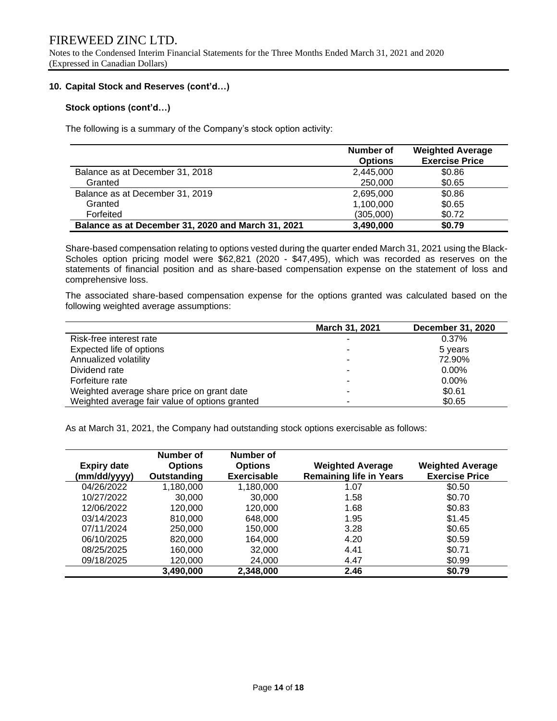Notes to the Condensed Interim Financial Statements for the Three Months Ended March 31, 2021 and 2020 (Expressed in Canadian Dollars)

### **10. Capital Stock and Reserves (cont'd…)**

## **Stock options (cont'd…)**

The following is a summary of the Company's stock option activity:

|                                                    | Number of<br><b>Options</b> | <b>Weighted Average</b><br><b>Exercise Price</b> |
|----------------------------------------------------|-----------------------------|--------------------------------------------------|
| Balance as at December 31, 2018                    | 2,445,000                   | \$0.86                                           |
| Granted                                            | 250,000                     | \$0.65                                           |
| Balance as at December 31, 2019                    | 2,695,000                   | \$0.86                                           |
| Granted                                            | 1,100,000                   | \$0.65                                           |
| Forfeited                                          | (305,000)                   | \$0.72                                           |
| Balance as at December 31, 2020 and March 31, 2021 | 3,490,000                   | \$0.79                                           |

Share-based compensation relating to options vested during the quarter ended March 31, 2021 using the Black-Scholes option pricing model were \$62,821 (2020 - \$47,495), which was recorded as reserves on the statements of financial position and as share-based compensation expense on the statement of loss and comprehensive loss.

The associated share-based compensation expense for the options granted was calculated based on the following weighted average assumptions:

|                                                | March 31, 2021 | <b>December 31, 2020</b> |
|------------------------------------------------|----------------|--------------------------|
| Risk-free interest rate                        |                | 0.37%                    |
| Expected life of options                       |                | 5 years                  |
| Annualized volatility                          | ۰              | 72.90%                   |
| Dividend rate                                  |                | $0.00\%$                 |
| Forfeiture rate                                |                | $0.00\%$                 |
| Weighted average share price on grant date     |                | \$0.61                   |
| Weighted average fair value of options granted |                | \$0.65                   |

As at March 31, 2021, the Company had outstanding stock options exercisable as follows:

| <b>Expiry date</b><br>(mm/dd/yyyy) | Number of<br><b>Options</b><br>Outstanding | Number of<br><b>Options</b><br>Exercisable | <b>Weighted Average</b><br><b>Remaining life in Years</b> | <b>Weighted Average</b><br><b>Exercise Price</b> |
|------------------------------------|--------------------------------------------|--------------------------------------------|-----------------------------------------------------------|--------------------------------------------------|
| 04/26/2022                         | 1,180,000                                  | 1,180,000                                  | 1.07                                                      | \$0.50                                           |
| 10/27/2022                         | 30,000                                     | 30,000                                     | 1.58                                                      | \$0.70                                           |
| 12/06/2022                         | 120,000                                    | 120,000                                    | 1.68                                                      | \$0.83                                           |
| 03/14/2023                         | 810,000                                    | 648,000                                    | 1.95                                                      | \$1.45                                           |
| 07/11/2024                         | 250,000                                    | 150,000                                    | 3.28                                                      | \$0.65                                           |
| 06/10/2025                         | 820,000                                    | 164.000                                    | 4.20                                                      | \$0.59                                           |
| 08/25/2025                         | 160,000                                    | 32,000                                     | 4.41                                                      | \$0.71                                           |
| 09/18/2025                         | 120,000                                    | 24,000                                     | 4.47                                                      | \$0.99                                           |
|                                    | 3,490,000                                  | 2,348,000                                  | 2.46                                                      | \$0.79                                           |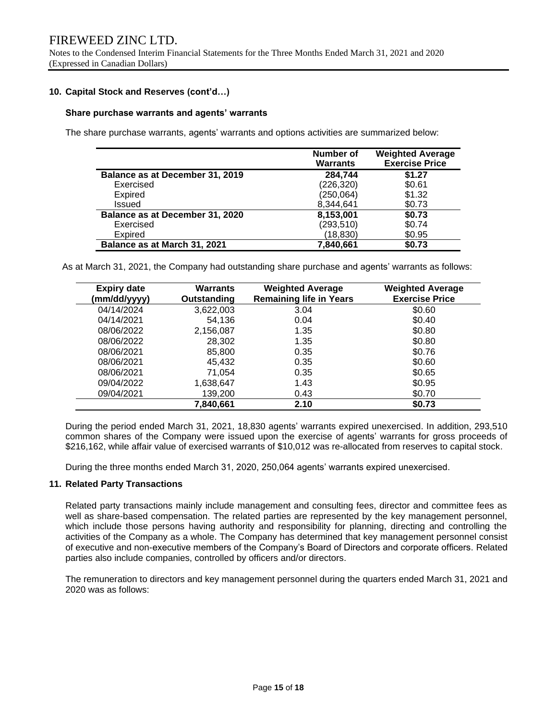### **10. Capital Stock and Reserves (cont'd…)**

#### **Share purchase warrants and agents' warrants**

The share purchase warrants, agents' warrants and options activities are summarized below:

|                                 | Number of<br><b>Warrants</b> | <b>Weighted Average</b><br><b>Exercise Price</b> |
|---------------------------------|------------------------------|--------------------------------------------------|
| Balance as at December 31, 2019 | 284,744                      | \$1.27                                           |
| Exercised                       | (226, 320)                   | \$0.61                                           |
| Expired                         | (250, 064)                   | \$1.32                                           |
| Issued                          | 8,344,641                    | \$0.73                                           |
| Balance as at December 31, 2020 | 8,153,001                    | \$0.73                                           |
| Exercised                       | (293, 510)                   | \$0.74                                           |
| <b>Expired</b>                  | (18,830)                     | \$0.95                                           |
| Balance as at March 31, 2021    | 7,840,661                    | \$0.73                                           |

As at March 31, 2021, the Company had outstanding share purchase and agents' warrants as follows:

| <b>Expiry date</b><br>(mm/dd/yyyy) | Warrants<br>Outstanding | <b>Weighted Average</b><br><b>Remaining life in Years</b> | <b>Weighted Average</b><br><b>Exercise Price</b> |
|------------------------------------|-------------------------|-----------------------------------------------------------|--------------------------------------------------|
| 04/14/2024                         | 3,622,003               | 3.04                                                      | \$0.60                                           |
| 04/14/2021                         | 54,136                  | 0.04                                                      | \$0.40                                           |
| 08/06/2022                         | 2,156,087               | 1.35                                                      | \$0.80                                           |
| 08/06/2022                         | 28.302                  | 1.35                                                      | \$0.80                                           |
| 08/06/2021                         | 85,800                  | 0.35                                                      | \$0.76                                           |
| 08/06/2021                         | 45,432                  | 0.35                                                      | \$0.60                                           |
| 08/06/2021                         | 71.054                  | 0.35                                                      | \$0.65                                           |
| 09/04/2022                         | 1,638,647               | 1.43                                                      | \$0.95                                           |
| 09/04/2021                         | 139,200                 | 0.43                                                      | \$0.70                                           |
|                                    | 7,840,661               | 2.10                                                      | \$0.73                                           |

During the period ended March 31, 2021, 18,830 agents' warrants expired unexercised. In addition, 293,510 common shares of the Company were issued upon the exercise of agents' warrants for gross proceeds of \$216,162, while affair value of exercised warrants of \$10,012 was re-allocated from reserves to capital stock.

During the three months ended March 31, 2020, 250,064 agents' warrants expired unexercised.

### **11. Related Party Transactions**

Related party transactions mainly include management and consulting fees, director and committee fees as well as share-based compensation. The related parties are represented by the key management personnel, which include those persons having authority and responsibility for planning, directing and controlling the activities of the Company as a whole. The Company has determined that key management personnel consist of executive and non-executive members of the Company's Board of Directors and corporate officers. Related parties also include companies, controlled by officers and/or directors.

The remuneration to directors and key management personnel during the quarters ended March 31, 2021 and 2020 was as follows: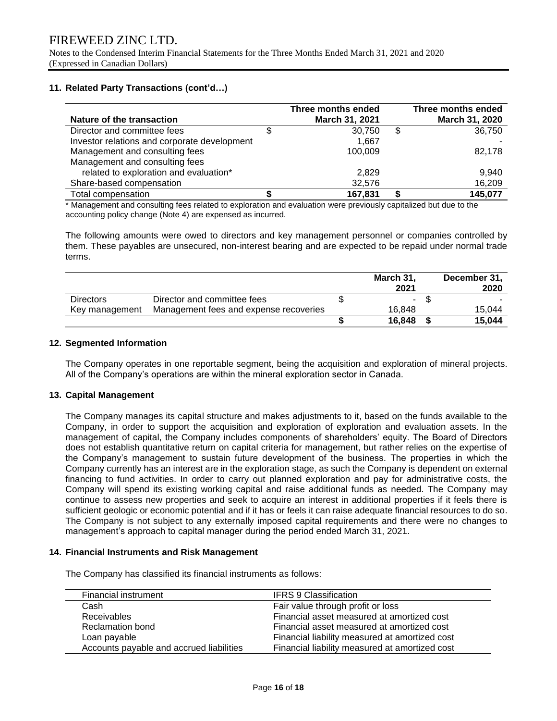Notes to the Condensed Interim Financial Statements for the Three Months Ended March 31, 2021 and 2020 (Expressed in Canadian Dollars)

## **11. Related Party Transactions (cont'd…)**

| Nature of the transaction                    | Three months ended<br>March 31, 2021 | Three months ended<br>March 31, 2020 |
|----------------------------------------------|--------------------------------------|--------------------------------------|
| Director and committee fees                  | 30.750                               | \$<br>36,750                         |
| Investor relations and corporate development | 1.667                                |                                      |
| Management and consulting fees               | 100.009                              | 82,178                               |
| Management and consulting fees               |                                      |                                      |
| related to exploration and evaluation*       | 2.829                                | 9.940                                |
| Share-based compensation                     | 32,576                               | 16,209                               |
| <b>Total compensation</b>                    | 167,831                              | 145,077                              |

\* Management and consulting fees related to exploration and evaluation were previously capitalized but due to the accounting policy change (Note 4) are expensed as incurred.

The following amounts were owed to directors and key management personnel or companies controlled by them. These payables are unsecured, non-interest bearing and are expected to be repaid under normal trade terms.

|                  |                                        | March 31,<br>2021 | December 31,<br>2020 |
|------------------|----------------------------------------|-------------------|----------------------|
| <b>Directors</b> | Director and committee fees            | -                 |                      |
| Key management   | Management fees and expense recoveries | 16.848            | 15.044               |
|                  |                                        | 16.848            | 15.044               |

### **12. Segmented Information**

The Company operates in one reportable segment, being the acquisition and exploration of mineral projects. All of the Company's operations are within the mineral exploration sector in Canada.

### **13. Capital Management**

The Company manages its capital structure and makes adjustments to it, based on the funds available to the Company, in order to support the acquisition and exploration of exploration and evaluation assets. In the management of capital, the Company includes components of shareholders' equity. The Board of Directors does not establish quantitative return on capital criteria for management, but rather relies on the expertise of the Company's management to sustain future development of the business. The properties in which the Company currently has an interest are in the exploration stage, as such the Company is dependent on external financing to fund activities. In order to carry out planned exploration and pay for administrative costs, the Company will spend its existing working capital and raise additional funds as needed. The Company may continue to assess new properties and seek to acquire an interest in additional properties if it feels there is sufficient geologic or economic potential and if it has or feels it can raise adequate financial resources to do so. The Company is not subject to any externally imposed capital requirements and there were no changes to management's approach to capital manager during the period ended March 31, 2021.

### **14. Financial Instruments and Risk Management**

The Company has classified its financial instruments as follows:

| Financial instrument                     | <b>IFRS 9 Classification</b>                   |
|------------------------------------------|------------------------------------------------|
| Cash                                     | Fair value through profit or loss              |
| <b>Receivables</b>                       | Financial asset measured at amortized cost     |
| <b>Reclamation bond</b>                  | Financial asset measured at amortized cost     |
| Loan payable                             | Financial liability measured at amortized cost |
| Accounts payable and accrued liabilities | Financial liability measured at amortized cost |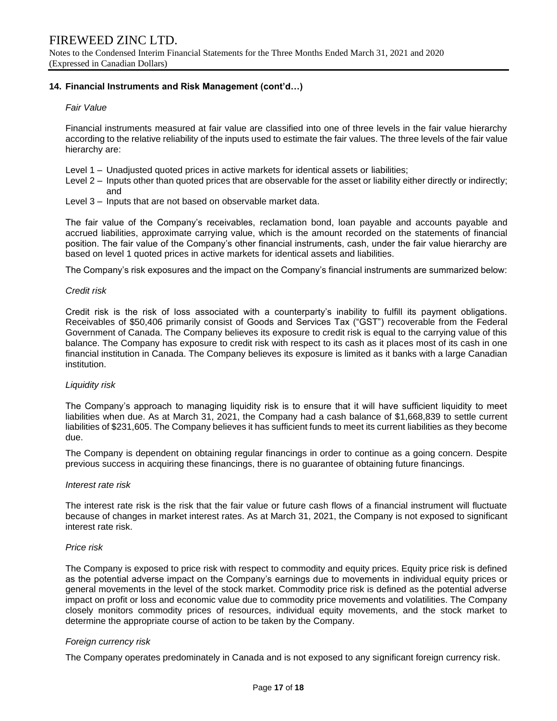## **14. Financial Instruments and Risk Management (cont'd…)**

### *Fair Value*

Financial instruments measured at fair value are classified into one of three levels in the fair value hierarchy according to the relative reliability of the inputs used to estimate the fair values. The three levels of the fair value hierarchy are:

- Level 1 Unadjusted quoted prices in active markets for identical assets or liabilities;
- Level 2 Inputs other than quoted prices that are observable for the asset or liability either directly or indirectly; and
- Level 3 Inputs that are not based on observable market data.

The fair value of the Company's receivables, reclamation bond, loan payable and accounts payable and accrued liabilities, approximate carrying value, which is the amount recorded on the statements of financial position. The fair value of the Company's other financial instruments, cash, under the fair value hierarchy are based on level 1 quoted prices in active markets for identical assets and liabilities.

The Company's risk exposures and the impact on the Company's financial instruments are summarized below:

#### *Credit risk*

Credit risk is the risk of loss associated with a counterparty's inability to fulfill its payment obligations. Receivables of \$50,406 primarily consist of Goods and Services Tax ("GST") recoverable from the Federal Government of Canada. The Company believes its exposure to credit risk is equal to the carrying value of this balance. The Company has exposure to credit risk with respect to its cash as it places most of its cash in one financial institution in Canada. The Company believes its exposure is limited as it banks with a large Canadian institution.

#### *Liquidity risk*

The Company's approach to managing liquidity risk is to ensure that it will have sufficient liquidity to meet liabilities when due. As at March 31, 2021, the Company had a cash balance of \$1,668,839 to settle current liabilities of \$231,605. The Company believes it has sufficient funds to meet its current liabilities as they become due.

The Company is dependent on obtaining regular financings in order to continue as a going concern. Despite previous success in acquiring these financings, there is no guarantee of obtaining future financings.

#### *Interest rate risk*

The interest rate risk is the risk that the fair value or future cash flows of a financial instrument will fluctuate because of changes in market interest rates. As at March 31, 2021, the Company is not exposed to significant interest rate risk.

#### *Price risk*

The Company is exposed to price risk with respect to commodity and equity prices. Equity price risk is defined as the potential adverse impact on the Company's earnings due to movements in individual equity prices or general movements in the level of the stock market. Commodity price risk is defined as the potential adverse impact on profit or loss and economic value due to commodity price movements and volatilities. The Company closely monitors commodity prices of resources, individual equity movements, and the stock market to determine the appropriate course of action to be taken by the Company.

### *Foreign currency risk*

The Company operates predominately in Canada and is not exposed to any significant foreign currency risk.